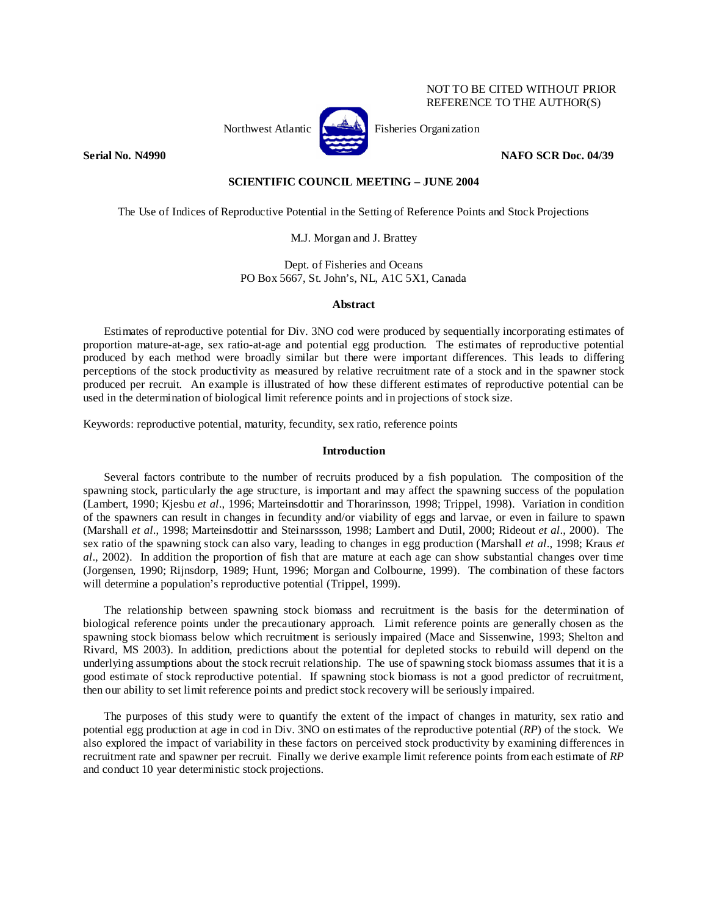# NOT TO BE CITED WITHOUT PRIOR REFERENCE TO THE AUTHOR(S)



**Serial No. N4990 NAFO SCR Doc. 04/39** 

# **SCIENTIFIC COUNCIL MEETING – JUNE 2004**

The Use of Indices of Reproductive Potential in the Setting of Reference Points and Stock Projections

M.J. Morgan and J. Brattey

Dept. of Fisheries and Oceans PO Box 5667, St. John's, NL, A1C 5X1, Canada

# **Abstract**

Estimates of reproductive potential for Div. 3NO cod were produced by sequentially incorporating estimates of proportion mature-at-age, sex ratio-at-age and potential egg production. The estimates of reproductive potential produced by each method were broadly similar but there were important differences. This leads to differing perceptions of the stock productivity as measured by relative recruitment rate of a stock and in the spawner stock produced per recruit. An example is illustrated of how these different estimates of reproductive potential can be used in the determination of biological limit reference points and in projections of stock size.

Keywords: reproductive potential, maturity, fecundity, sex ratio, reference points

# **Introduction**

 Several factors contribute to the number of recruits produced by a fish population. The composition of the spawning stock, particularly the age structure, is important and may affect the spawning success of the population (Lambert, 1990; Kjesbu *et al*., 1996; Marteinsdottir and Thorarinsson, 1998; Trippel, 1998). Variation in condition of the spawners can result in changes in fecundity and/or viability of eggs and larvae, or even in failure to spawn (Marshall *et al*., 1998; Marteinsdottir and Steinarssson, 1998; Lambert and Dutil, 2000; Rideout *et al*., 2000). The sex ratio of the spawning stock can also vary, leading to changes in egg production (Marshall *et al*., 1998; Kraus *et al*., 2002). In addition the proportion of fish that are mature at each age can show substantial changes over time (Jorgensen, 1990; Rijnsdorp, 1989; Hunt, 1996; Morgan and Colbourne, 1999). The combination of these factors will determine a population's reproductive potential (Trippel, 1999).

 The relationship between spawning stock biomass and recruitment is the basis for the determination of biological reference points under the precautionary approach. Limit reference points are generally chosen as the spawning stock biomass below which recruitment is seriously impaired (Mace and Sissenwine, 1993; Shelton and Rivard, MS 2003). In addition, predictions about the potential for depleted stocks to rebuild will depend on the underlying assumptions about the stock recruit relationship. The use of spawning stock biomass assumes that it is a good estimate of stock reproductive potential. If spawning stock biomass is not a good predictor of recruitment, then our ability to set limit reference points and predict stock recovery will be seriously impaired.

 The purposes of this study were to quantify the extent of the impact of changes in maturity, sex ratio and potential egg production at age in cod in Div. 3NO on estimates of the reproductive potential (*RP*) of the stock. We also explored the impact of variability in these factors on perceived stock productivity by examining differences in recruitment rate and spawner per recruit. Finally we derive example limit reference points from each estimate of *RP* and conduct 10 year deterministic stock projections.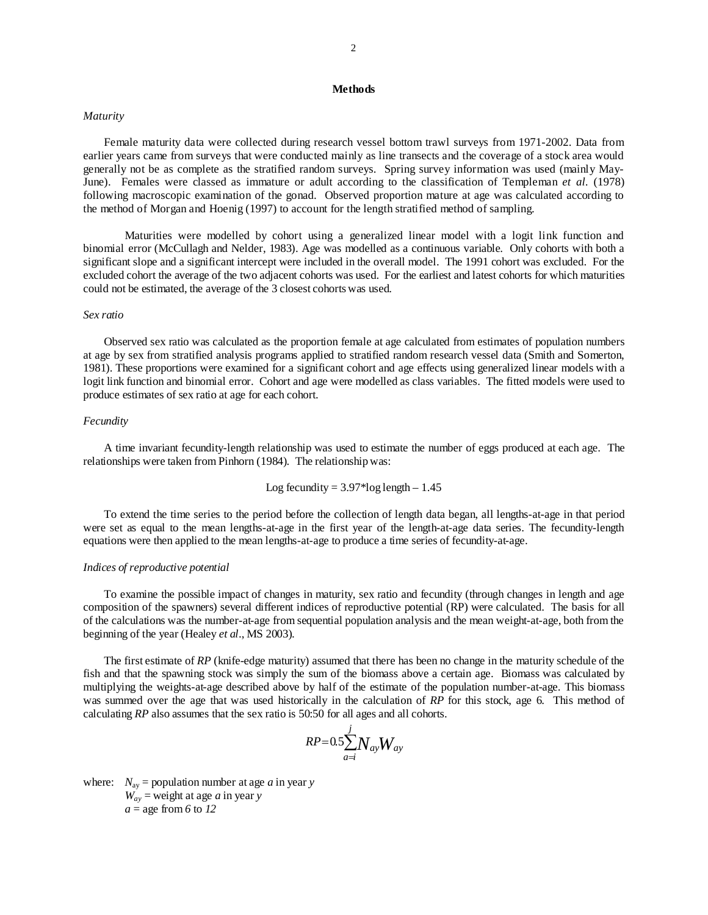# **Methods**

# *Maturity*

Female maturity data were collected during research vessel bottom trawl surveys from 1971-2002. Data from earlier years came from surveys that were conducted mainly as line transects and the coverage of a stock area would generally not be as complete as the stratified random surveys. Spring survey information was used (mainly May-June). Females were classed as immature or adult according to the classification of Templeman *et al.* (1978) following macroscopic examination of the gonad. Observed proportion mature at age was calculated according to the method of Morgan and Hoenig (1997) to account for the length stratified method of sampling.

 Maturities were modelled by cohort using a generalized linear model with a logit link function and binomial error (McCullagh and Nelder, 1983). Age was modelled as a continuous variable. Only cohorts with both a significant slope and a significant intercept were included in the overall model. The 1991 cohort was excluded. For the excluded cohort the average of the two adjacent cohorts was used. For the earliest and latest cohorts for which maturities could not be estimated, the average of the 3 closest cohorts was used.

### *Sex ratio*

 Observed sex ratio was calculated as the proportion female at age calculated from estimates of population numbers at age by sex from stratified analysis programs applied to stratified random research vessel data (Smith and Somerton, 1981). These proportions were examined for a significant cohort and age effects using generalized linear models with a logit link function and binomial error. Cohort and age were modelled as class variables. The fitted models were used to produce estimates of sex ratio at age for each cohort.

### *Fecundity*

 A time invariant fecundity-length relationship was used to estimate the number of eggs produced at each age. The relationships were taken from Pinhorn (1984). The relationship was:

Log fecundity = 
$$
3.97*log length - 1.45
$$

 To extend the time series to the period before the collection of length data began, all lengths-at-age in that period were set as equal to the mean lengths-at-age in the first year of the length-at-age data series. The fecundity-length equations were then applied to the mean lengths-at-age to produce a time series of fecundity-at-age.

#### *Indices of reproductive potential*

 To examine the possible impact of changes in maturity, sex ratio and fecundity (through changes in length and age composition of the spawners) several different indices of reproductive potential (RP) were calculated. The basis for all of the calculations was the number-at-age from sequential population analysis and the mean weight-at-age, both from the beginning of the year (Healey *et al*., MS 2003).

 The first estimate of *RP* (knife-edge maturity) assumed that there has been no change in the maturity schedule of the fish and that the spawning stock was simply the sum of the biomass above a certain age. Biomass was calculated by multiplying the weights-at-age described above by half of the estimate of the population number-at-age. This biomass was summed over the age that was used historically in the calculation of *RP* for this stock, age 6. This method of calculating *RP* also assumes that the sex ratio is 50:50 for all ages and all cohorts.

$$
\mathit{RP}\mathrm{=}0.5\overset{j}{\underset{a=i}{\sum}}N_{ay}W_{ay}
$$

where:  $N_{av}$  = population number at age *a* in year *y*  $W_{av}$  = weight at age *a* in year *y*  $a =$  age from 6 to 12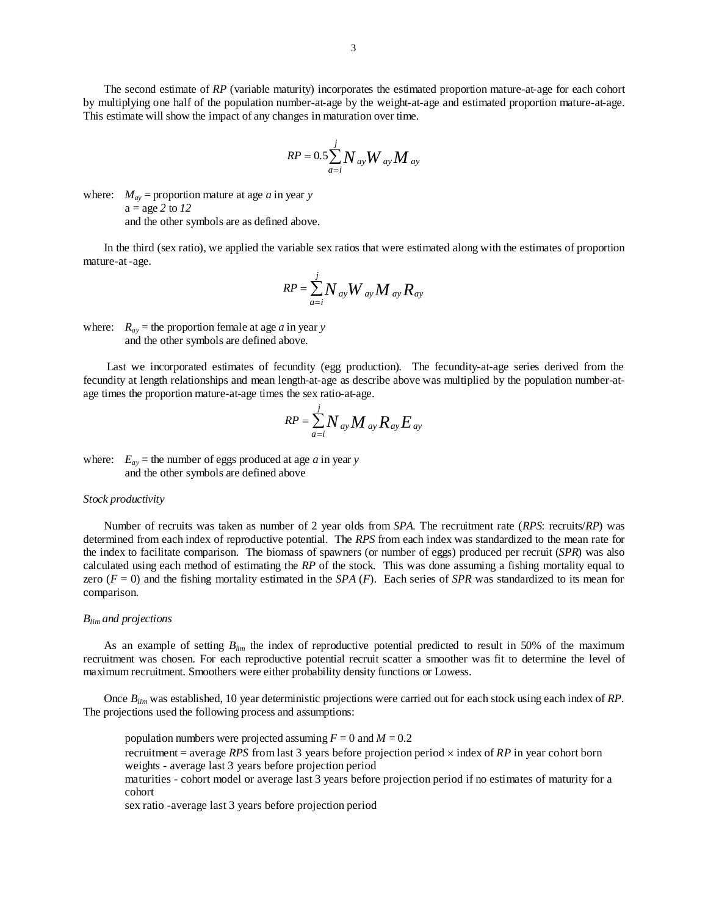The second estimate of *RP* (variable maturity) incorporates the estimated proportion mature-at-age for each cohort by multiplying one half of the population number-at-age by the weight-at-age and estimated proportion mature-at-age. This estimate will show the impact of any changes in maturation over time.

$$
RP = 0.5 \sum_{a=i}^{j} N_{ay} W_{ay} M_{ay}
$$

where:  $M_{av}$  = proportion mature at age *a* in year *y* a = age *2* to *12* and the other symbols are as defined above.

In the third (sex ratio), we applied the variable sex ratios that were estimated along with the estimates of proportion mature-at -age.

$$
RP = \sum_{a=i}^{j} N_{ay} W_{ay} M_{ay} R_{ay}
$$

where:  $R_{ay}$  = the proportion female at age *a* in year *y* and the other symbols are defined above.

 Last we incorporated estimates of fecundity (egg production). The fecundity-at-age series derived from the fecundity at length relationships and mean length-at-age as describe above was multiplied by the population number-atage times the proportion mature-at-age times the sex ratio-at-age.

$$
RP = \sum_{a=i}^{j} N_{ay} M_{ay} R_{ay} E_{ay}
$$

where:  $E_{ay}$  = the number of eggs produced at age *a* in year *y* and the other symbols are defined above

### *Stock productivity*

 Number of recruits was taken as number of 2 year olds from *SPA*. The recruitment rate (*RPS*: recruits/*RP*) was determined from each index of reproductive potential. The *RPS* from each index was standardized to the mean rate for the index to facilitate comparison. The biomass of spawners (or number of eggs) produced per recruit (*SPR*) was also calculated using each method of estimating the *RP* of the stock. This was done assuming a fishing mortality equal to zero  $(F = 0)$  and the fishing mortality estimated in the *SPA*  $(F)$ . Each series of *SPR* was standardized to its mean for comparison.

#### *Blim and projections*

As an example of setting *Blim* the index of reproductive potential predicted to result in 50% of the maximum recruitment was chosen. For each reproductive potential recruit scatter a smoother was fit to determine the level of maximum recruitment. Smoothers were either probability density functions or Lowess.

Once *Blim* was established, 10 year deterministic projections were carried out for each stock using each index of *RP*. The projections used the following process and assumptions:

population numbers were projected assuming  $F = 0$  and  $M = 0.2$ recruitment = average *RPS* from last 3 years before projection period × index of *RP* in year cohort born weights - average last 3 years before projection period maturities - cohort model or average last 3 years before projection period if no estimates of maturity for a cohort

sex ratio -average last 3 years before projection period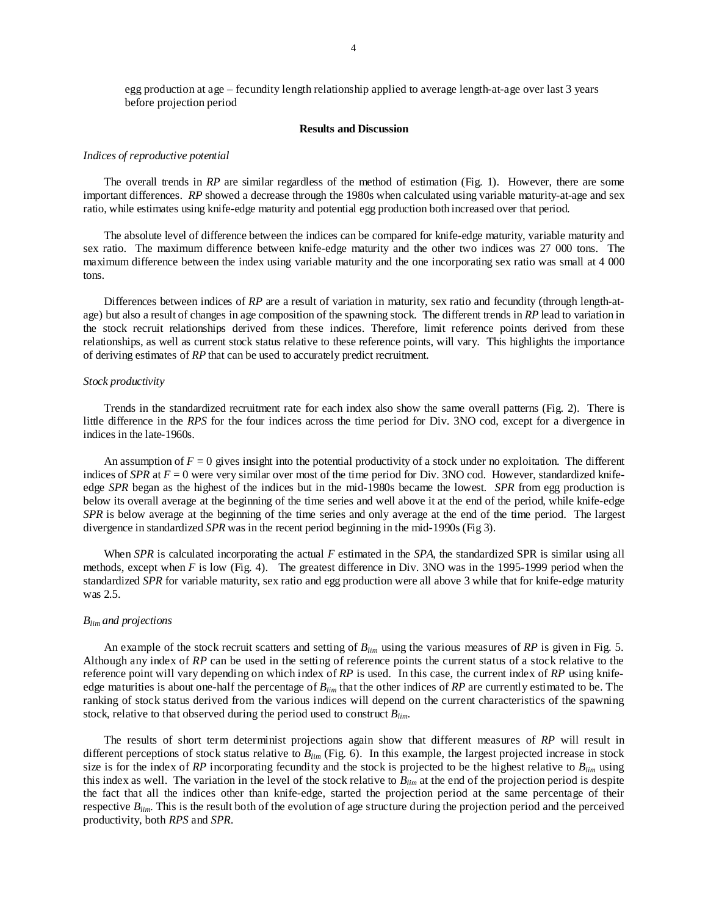### **Results and Discussion**

#### *Indices of reproductive potential*

 The overall trends in *RP* are similar regardless of the method of estimation (Fig. 1). However, there are some important differences. *RP* showed a decrease through the 1980s when calculated using variable maturity-at-age and sex ratio, while estimates using knife-edge maturity and potential egg production both increased over that period.

The absolute level of difference between the indices can be compared for knife-edge maturity, variable maturity and sex ratio. The maximum difference between knife-edge maturity and the other two indices was 27 000 tons. The maximum difference between the index using variable maturity and the one incorporating sex ratio was small at 4 000 tons.

Differences between indices of *RP* are a result of variation in maturity, sex ratio and fecundity (through length-atage) but also a result of changes in age composition of the spawning stock. The different trends in *RP* lead to variation in the stock recruit relationships derived from these indices. Therefore, limit reference points derived from these relationships, as well as current stock status relative to these reference points, will vary. This highlights the importance of deriving estimates of *RP* that can be used to accurately predict recruitment.

## *Stock productivity*

 Trends in the standardized recruitment rate for each index also show the same overall patterns (Fig. 2). There is little difference in the *RPS* for the four indices across the time period for Div. 3NO cod, except for a divergence in indices in the late-1960s.

An assumption of  $F = 0$  gives insight into the potential productivity of a stock under no exploitation. The different indices of *SPR* at  $F = 0$  were very similar over most of the time period for Div. 3NO cod. However, standardized knifeedge *SPR* began as the highest of the indices but in the mid-1980s became the lowest. *SPR* from egg production is below its overall average at the beginning of the time series and well above it at the end of the period, while knife-edge *SPR* is below average at the beginning of the time series and only average at the end of the time period. The largest divergence in standardized *SPR* was in the recent period beginning in the mid-1990s (Fig 3).

 When *SPR* is calculated incorporating the actual *F* estimated in the *SPA*, the standardized SPR is similar using all methods, except when *F* is low (Fig. 4). The greatest difference in Div. 3NO was in the 1995-1999 period when the standardized *SPR* for variable maturity, sex ratio and egg production were all above 3 while that for knife-edge maturity was 2.5.

### *Blim and projections*

 An example of the stock recruit scatters and setting of *Blim* using the various measures of *RP* is given in Fig. 5. Although any index of *RP* can be used in the setting of reference points the current status of a stock relative to the reference point will vary depending on which index of *RP* is used. In this case, the current index of *RP* using knifeedge maturities is about one-half the percentage of *Blim* that the other indices of *RP* are currently estimated to be. The ranking of stock status derived from the various indices will depend on the current characteristics of the spawning stock, relative to that observed during the period used to construct *Blim*.

 The results of short term determinist projections again show that different measures of *RP* will result in different perceptions of stock status relative to *Blim* (Fig. 6). In this example, the largest projected increase in stock size is for the index of *RP* incorporating fecundity and the stock is projected to be the highest relative to  $B_{lim}$  using this index as well. The variation in the level of the stock relative to *Blim* at the end of the projection period is despite the fact that all the indices other than knife-edge, started the projection period at the same percentage of their respective *Blim*. This is the result both of the evolution of age structure during the projection period and the perceived productivity, both *RPS* and *SPR*.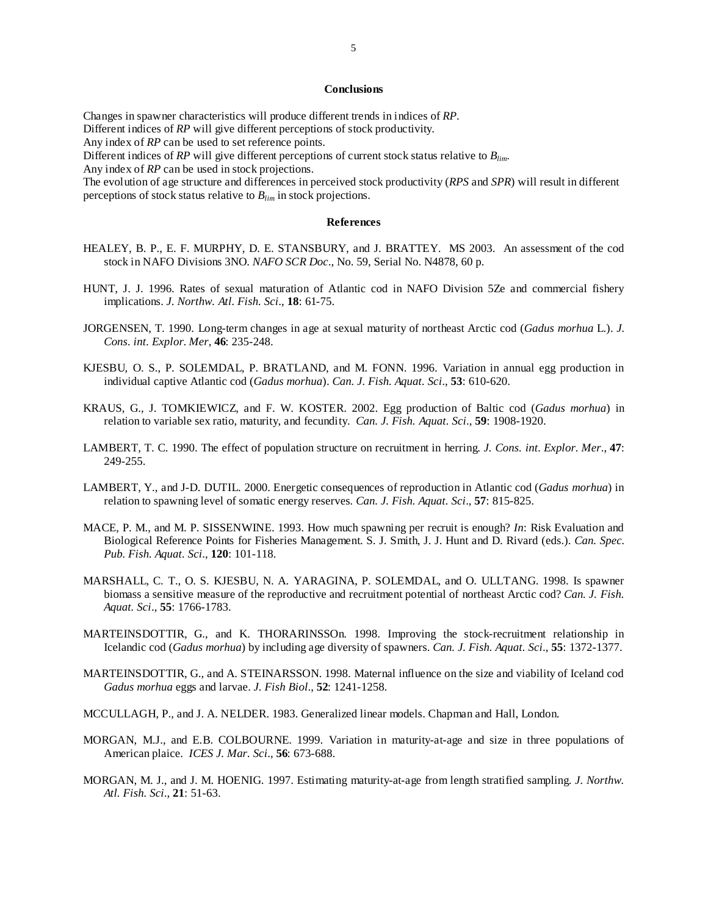# **Conclusions**

Changes in spawner characteristics will produce different trends in indices of *RP*.

Different indices of *RP* will give different perceptions of stock productivity.

Any index of *RP* can be used to set reference points.

Different indices of *RP* will give different perceptions of current stock status relative to *Blim*.

Any index of *RP* can be used in stock projections.

The evolution of age structure and differences in perceived stock productivity (*RPS* and *SPR*) will result in different perceptions of stock status relative to *Blim* in stock projections.

### **References**

- HEALEY, B. P., E. F. MURPHY, D. E. STANSBURY, and J. BRATTEY. MS 2003. An assessment of the cod stock in NAFO Divisions 3NO. *NAFO SCR Doc*., No. 59, Serial No. N4878, 60 p.
- HUNT, J. J. 1996. Rates of sexual maturation of Atlantic cod in NAFO Division 5Ze and commercial fishery implications. *J. Northw. Atl. Fish. Sci*., **18**: 61-75.
- JORGENSEN, T. 1990. Long-term changes in age at sexual maturity of northeast Arctic cod (*Gadus morhua* L.). *J. Cons. int. Explor. Mer*, **46**: 235-248.
- KJESBU, O. S., P. SOLEMDAL, P. BRATLAND, and M. FONN. 1996. Variation in annual egg production in individual captive Atlantic cod (*Gadus morhua*). *Can. J. Fish. Aquat. Sci*., **53**: 610-620.
- KRAUS, G., J. TOMKIEWICZ, and F. W. KOSTER. 2002. Egg production of Baltic cod (*Gadus morhua*) in relation to variable sex ratio, maturity, and fecundity. *Can. J. Fish. Aquat. Sci*., **59**: 1908-1920.
- LAMBERT, T. C. 1990. The effect of population structure on recruitment in herring. *J. Cons. int. Explor. Mer*., **47**: 249-255.
- LAMBERT, Y., and J-D. DUTIL. 2000. Energetic consequences of reproduction in Atlantic cod (*Gadus morhua*) in relation to spawning level of somatic energy reserves*. Can. J. Fish. Aquat. Sci*., **57**: 815-825.
- MACE, P. M., and M. P. SISSENWINE. 1993. How much spawning per recruit is enough? *In*: Risk Evaluation and Biological Reference Points for Fisheries Management. S. J. Smith, J. J. Hunt and D. Rivard (eds.). *Can. Spec. Pub. Fish. Aquat. Sci*., **120**: 101-118.
- MARSHALL, C. T., O. S. KJESBU, N. A. YARAGINA, P. SOLEMDAL, and O. ULLTANG. 1998. Is spawner biomass a sensitive measure of the reproductive and recruitment potential of northeast Arctic cod? *Can. J. Fish. Aquat. Sci*., **55**: 1766-1783.
- MARTEINSDOTTIR, G., and K. THORARINSSOn. 1998. Improving the stock-recruitment relationship in Icelandic cod (*Gadus morhua*) by including age diversity of spawners. *Can. J. Fish. Aquat. Sci*., **55**: 1372-1377.
- MARTEINSDOTTIR, G., and A. STEINARSSON. 1998. Maternal influence on the size and viability of Iceland cod *Gadus morhua* eggs and larvae. *J. Fish Biol*., **52**: 1241-1258.
- MCCULLAGH, P., and J. A. NELDER. 1983. Generalized linear models. Chapman and Hall, London.
- MORGAN, M.J., and E.B. COLBOURNE. 1999. Variation in maturity-at-age and size in three populations of American plaice. *ICES J. Mar. Sci*., **56**: 673-688.
- MORGAN, M. J., and J. M. HOENIG. 1997. Estimating maturity-at-age from length stratified sampling. *J. Northw. Atl. Fish. Sci*., **21**: 51-63.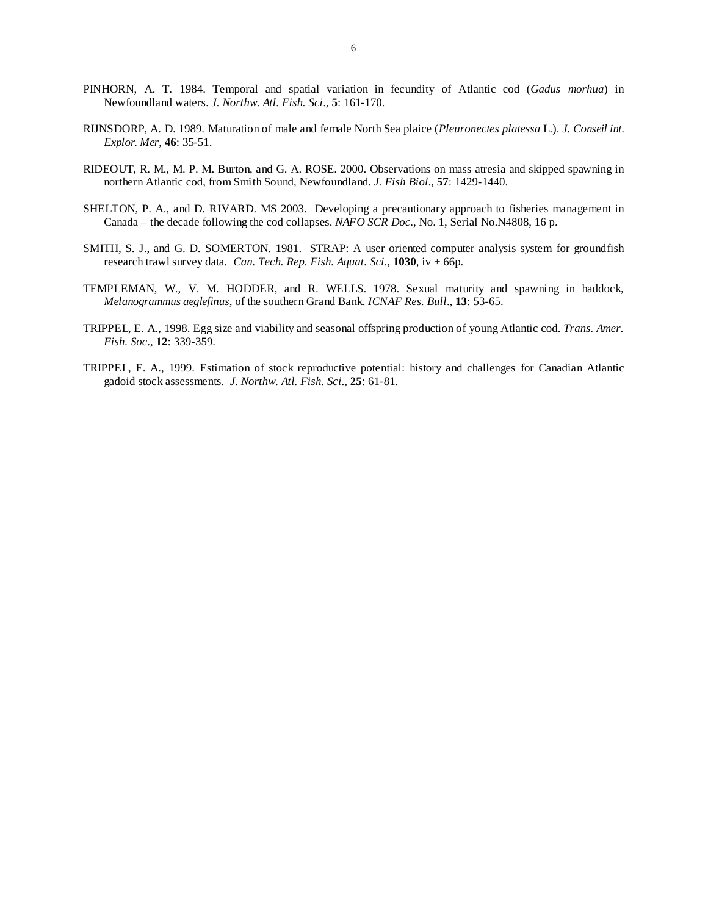- PINHORN, A. T. 1984. Temporal and spatial variation in fecundity of Atlantic cod (*Gadus morhua*) in Newfoundland waters. *J. Northw. Atl. Fish. Sci*., **5**: 161-170.
- RIJNSDORP, A. D. 1989. Maturation of male and female North Sea plaice (*Pleuronectes platessa* L.). *J. Conseil int. Explor. Mer*, **46**: 35-51.
- RIDEOUT, R. M., M. P. M. Burton, and G. A. ROSE. 2000. Observations on mass atresia and skipped spawning in northern Atlantic cod, from Smith Sound, Newfoundland. *J. Fish Biol*., **57**: 1429-1440.
- SHELTON, P. A., and D. RIVARD. MS 2003. Developing a precautionary approach to fisheries management in Canada – the decade following the cod collapses. *NAFO SCR Doc*., No. 1, Serial No.N4808, 16 p.
- SMITH, S. J., and G. D. SOMERTON. 1981. STRAP: A user oriented computer analysis system for groundfish research trawl survey data. *Can. Tech. Rep. Fish. Aquat. Sci*., **1030**, iv + 66p.
- TEMPLEMAN, W., V. M. HODDER, and R. WELLS. 1978. Sexual maturity and spawning in haddock, *Melanogrammus aeglefinus*, of the southern Grand Bank. *ICNAF Res. Bull*., **13**: 53-65.
- TRIPPEL, E. A., 1998. Egg size and viability and seasonal offspring production of young Atlantic cod. *Trans. Amer. Fish. Soc*., **12**: 339-359.
- TRIPPEL, E. A., 1999. Estimation of stock reproductive potential: history and challenges for Canadian Atlantic gadoid stock assessments. *J. Northw. Atl. Fish. Sci*., **25**: 61-81.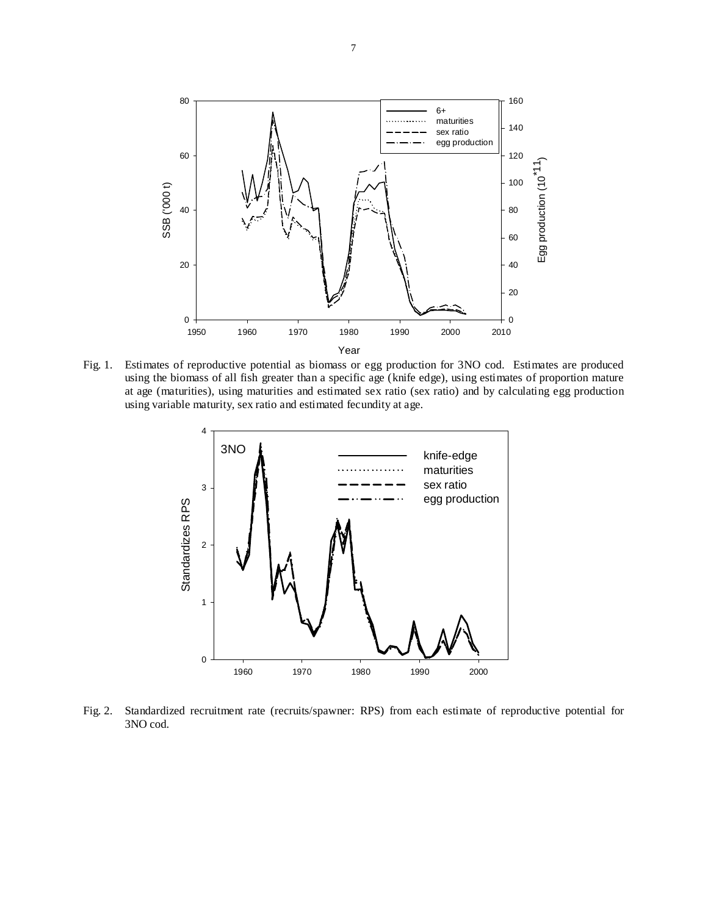

Fig. 1. Estimates of reproductive potential as biomass or egg production for 3NO cod. Estimates are produced using the biomass of all fish greater than a specific age (knife edge), using estimates of proportion mature at age (maturities), using maturities and estimated sex ratio (sex ratio) and by calculating egg production using variable maturity, sex ratio and estimated fecundity at age.



Fig. 2. Standardized recruitment rate (recruits/spawner: RPS) from each estimate of reproductive potential for 3NO cod.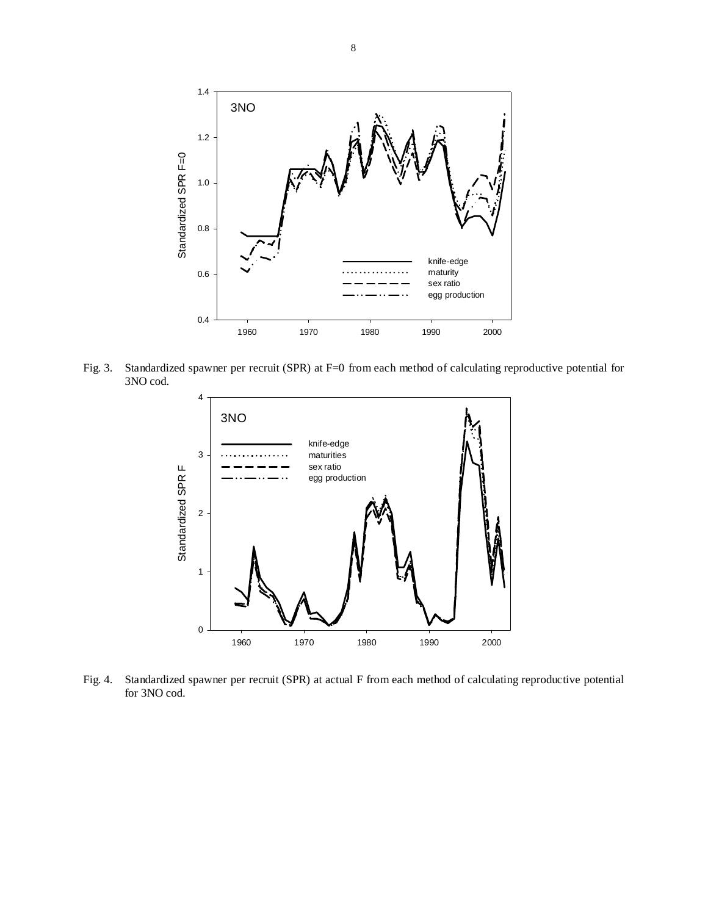

Fig. 3. Standardized spawner per recruit (SPR) at F=0 from each method of calculating reproductive potential for 3NO cod.



Fig. 4. Standardized spawner per recruit (SPR) at actual F from each method of calculating reproductive potential for 3NO cod.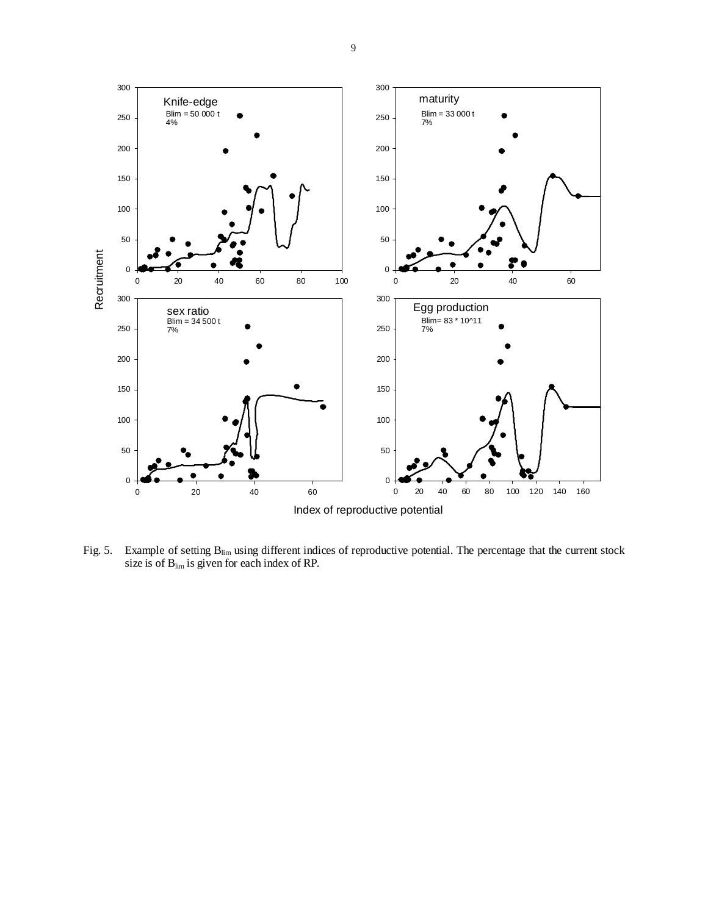

Fig. 5. Example of setting  $B_{\text{lim}}$  using different indices of reproductive potential. The percentage that the current stock size is of  $B_{\text{lim}}$  is given for each index of RP.